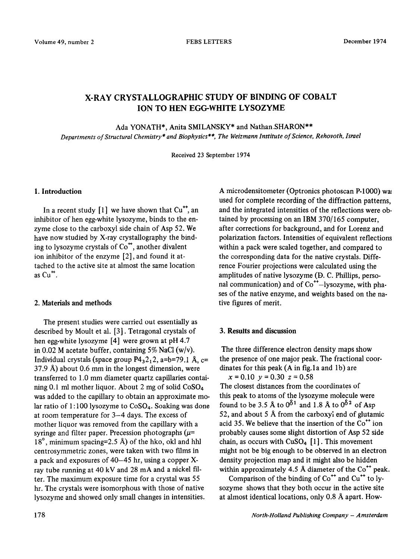# X-RAY CRYSTALLOGRAPHIC STUDY OF BINDING OF COBALT ION TO HEN EGG-WHITE LYSOZYME

Ada YONATH\*, Anita SMILANSKY\* and Nathan.SHARON\*\*

*Departments of Structural Chemistry\* and Biophysics \*\*, The Weizmann Institute of Science, Rehovoth, Israel* 

Received 23 September 1974

## 1. Introduction

In a recent study  $[1]$  we have shown that  $Cu^{++}$ , an inhibitor of hen egg-white lysozyme, binds to the enzyme close to the carboxyl side chain of Asp 52. We have now studied by X-ray crystallography the binding to lysozyme crystals of Co\*, another divalent ion inhibitor of the enzyme [2], and found it attached to the active site at almost the same location as  $\text{Cu}^+$ .

## 2. Materials and methods

The present studies were carried out essentially as described by Moult et al. [3]. Tetragonal crystals of hen egg-white lysozyme [4] were grown at pH 4.7 in 0.02 M acetate buffer, containing 5% NaCl  $(w/v)$ . Individual crystals (space group  $P4<sub>3</sub>2<sub>1</sub>2$ , a=b=79.1 Å, c= 37.9 A) about 0.6 mm in the longest dimension, were transferred to 1 .O mm diameter quartz capillaries containing 0.1 ml mother liquor. About 2 mg of solid CoS04 was added to the capillary to obtain an approximate molar ratio of  $1:100$  lysozyme to  $CoSO<sub>4</sub>$ . Soaking was done at room temperature for 3-4 days. The excess of mother liquor was removed from the capillary with a syringe and filter paper. Precession photographs ( $\mu$ =  $18^\circ$ , minimum spacing=2.5 Å) of the hko, okl and hhl centrosymmetric zones, were taken with two films in a pack and exposures of 40-45 hr, using a copper Xray tube running at 40 kV and 28 mA and a nickel filter. The maximum exposure time for a crystal was 55 hr. The crystals were isomorphous with those of native lysozyme and showed only small changes in intensities.

A microdensitometer (Optronics photoscan P-1000) wa: used for complete recording of the diffraction patterns, and the integrated intensities of the reflections were obtained by processing on an IBM 370/165 computer, after corrections for background, and for Lorenz and polarization factors. Intensities of equivalent reflections within a pack were scaled together, and compared to the corresponding data for the native crystals. Difference Fourier projections were calculated using the amplitudes of native lysozyme (D. C. Phillips, personal communication) and of  $Co<sup>++</sup>$ -lysozyme, with phases of the native enzyme, and weights based on the native figures of merit.

# 3. Results and discussion

The three difference electron density maps show the presence of one major peak. The fractional coordinates for this peak  $(A \text{ in fig.1a and } 1b)$  are  $x = 0.10$   $y = 0.30$   $z = 0.58$ 

The closest distances from the coordinates of this peak to atoms of the lysozyme molecule were found to be 3.5 Å to  $0^{\delta_1}$  and 1.8 Å to  $0^{\delta_2}$  of Asp 52, and about 5 A from the carboxyi end of glutamic acid 35. We believe that the insertion of the  $Co^{++}$  ion probably causes some slight distortion of Asp 52 side chain, as occurs with  $CuSO<sub>4</sub>$  [1]. This movement might not be big enough to be observed in an electron density projection map and it might also be hidden within approximately 4.5 Å diameter of the  $Co<sup>++</sup>$  peak.

Comparison of the binding of  $Co<sup>++</sup>$  and  $Cu<sup>++</sup>$  to lysozyme shows that they both occur in the active site at almost identical locations, only 0.8 a apart. How-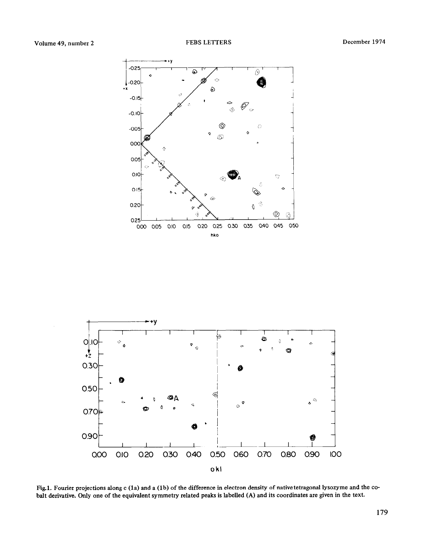



Fig.1. Fourier projections along c (1a) and a (1b) of the difference in electron density of native tetragonal lysozyme and the cobalt derivative. Only one of the equivalent symmetry related peaks is labelled (A) and its coordinates are given in the text.